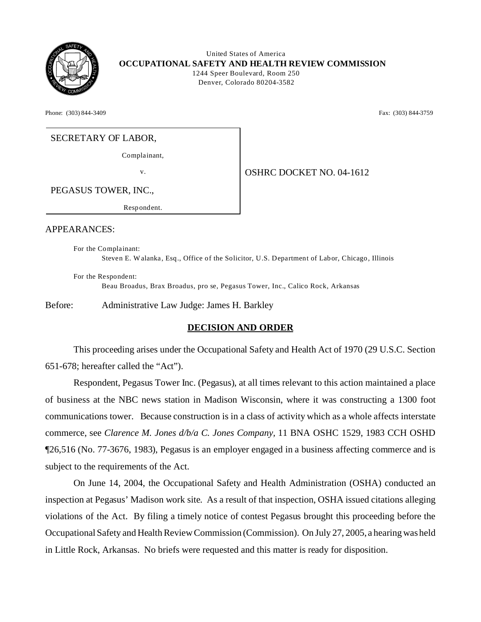

 United States of America **OCCUPATIONAL SAFETY AND HEALTH REVIEW COMMISSION** 1244 Speer Boulevard, Room 250 Denver, Colorado 80204-3582

Phone: (303) 844-3409 **Fax:** (303) 844-3759

# SECRETARY OF LABOR,

Complainant,

v. 04-1612

PEGASUS TOWER, INC.,

Respondent.

### APPEARANCES:

For the Complainant: Steven E. Walanka, Esq., Office of the Solicitor, U.S. Department of Labor, Chicago, Illinois

For the Respondent: Beau Broadus, Brax Broadus, pro se, Pegasus Tower, Inc., Calico Rock, Arkansas

Before: Administrative Law Judge: James H. Barkley

# **DECISION AND ORDER**

This proceeding arises under the Occupational Safety and Health Act of 1970 (29 U.S.C. Section 651-678; hereafter called the "Act").

Respondent, Pegasus Tower Inc. (Pegasus), at all times relevant to this action maintained a place of business at the NBC news station in Madison Wisconsin, where it was constructing a 1300 foot communications tower. Because construction is in a class of activity which as a whole affects interstate commerce, see *Clarence M. Jones d/b/a C. Jones Company,* 11 BNA OSHC 1529, 1983 CCH OSHD ¶26,516 (No. 77-3676, 1983), Pegasus is an employer engaged in a business affecting commerce and is subject to the requirements of the Act.

On June 14, 2004, the Occupational Safety and Health Administration (OSHA) conducted an inspection at Pegasus' Madison work site. As a result of that inspection, OSHA issued citations alleging violations of the Act. By filing a timely notice of contest Pegasus brought this proceeding before the Occupational Safety and Health Review Commission (Commission). On July 27, 2005, a hearing was held in Little Rock, Arkansas. No briefs were requested and this matter is ready for disposition.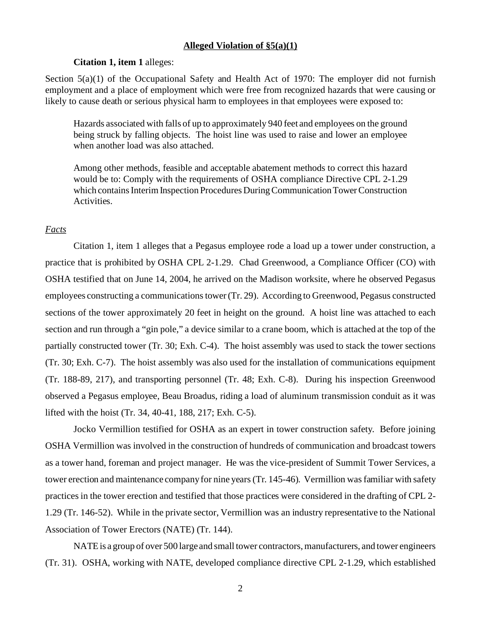### **Alleged Violation of §5(a)(1)**

### **Citation 1, item 1** alleges:

Section 5(a)(1) of the Occupational Safety and Health Act of 1970: The employer did not furnish employment and a place of employment which were free from recognized hazards that were causing or likely to cause death or serious physical harm to employees in that employees were exposed to:

Hazards associated with falls of up to approximately 940 feet and employees on the ground being struck by falling objects. The hoist line was used to raise and lower an employee when another load was also attached.

Among other methods, feasible and acceptable abatement methods to correct this hazard would be to: Comply with the requirements of OSHA compliance Directive CPL 2-1.29 which contains Interim Inspection Procedures During Communication Tower Construction Activities.

# *Facts*

Citation 1, item 1 alleges that a Pegasus employee rode a load up a tower under construction, a practice that is prohibited by OSHA CPL 2-1.29. Chad Greenwood, a Compliance Officer (CO) with OSHA testified that on June 14, 2004, he arrived on the Madison worksite, where he observed Pegasus employees constructing a communications tower (Tr. 29). According to Greenwood, Pegasus constructed sections of the tower approximately 20 feet in height on the ground. A hoist line was attached to each section and run through a "gin pole," a device similar to a crane boom, which is attached at the top of the partially constructed tower (Tr. 30; Exh. C-4). The hoist assembly was used to stack the tower sections (Tr. 30; Exh. C-7). The hoist assembly was also used for the installation of communications equipment (Tr. 188-89, 217), and transporting personnel (Tr. 48; Exh. C-8). During his inspection Greenwood observed a Pegasus employee, Beau Broadus, riding a load of aluminum transmission conduit as it was lifted with the hoist (Tr. 34, 40-41, 188, 217; Exh. C-5).

Jocko Vermillion testified for OSHA as an expert in tower construction safety. Before joining OSHA Vermillion was involved in the construction of hundreds of communication and broadcast towers as a tower hand, foreman and project manager. He was the vice-president of Summit Tower Services, a tower erection and maintenance company for nine years (Tr. 145-46). Vermillion was familiar with safety practices in the tower erection and testified that those practices were considered in the drafting of CPL 2- 1.29 (Tr. 146-52). While in the private sector, Vermillion was an industry representative to the National Association of Tower Erectors (NATE) (Tr. 144).

NATE is a group of over 500 large and small tower contractors, manufacturers, and tower engineers (Tr. 31). OSHA, working with NATE, developed compliance directive CPL 2-1.29, which established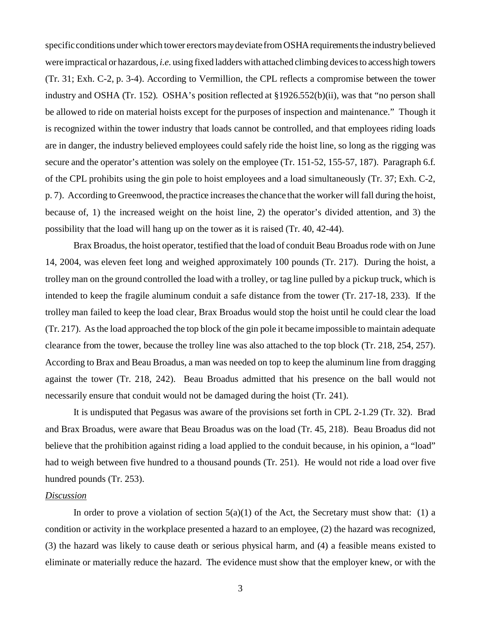specific conditions under which tower erectors may deviate from OSHA requirements the industry believed were impractical or hazardous, *i.e.* using fixed ladders with attached climbing devices to access high towers (Tr. 31; Exh. C-2, p. 3-4). According to Vermillion, the CPL reflects a compromise between the tower industry and OSHA (Tr. 152). OSHA's position reflected at §1926.552(b)(ii), was that "no person shall be allowed to ride on material hoists except for the purposes of inspection and maintenance." Though it is recognized within the tower industry that loads cannot be controlled, and that employees riding loads are in danger, the industry believed employees could safely ride the hoist line, so long as the rigging was secure and the operator's attention was solely on the employee (Tr. 151-52, 155-57, 187). Paragraph 6.f. of the CPL prohibits using the gin pole to hoist employees and a load simultaneously (Tr. 37; Exh. C-2, p. 7). According to Greenwood, the practice increases the chance that the worker will fall during the hoist, because of, 1) the increased weight on the hoist line, 2) the operator's divided attention, and 3) the possibility that the load will hang up on the tower as it is raised (Tr. 40, 42-44).

Brax Broadus, the hoist operator, testified that the load of conduit Beau Broadus rode with on June 14, 2004, was eleven feet long and weighed approximately 100 pounds (Tr. 217). During the hoist, a trolley man on the ground controlled the load with a trolley, or tag line pulled by a pickup truck, which is intended to keep the fragile aluminum conduit a safe distance from the tower (Tr. 217-18, 233). If the trolley man failed to keep the load clear, Brax Broadus would stop the hoist until he could clear the load (Tr. 217). As the load approached the top block of the gin pole it became impossible to maintain adequate clearance from the tower, because the trolley line was also attached to the top block (Tr. 218, 254, 257). According to Brax and Beau Broadus, a man was needed on top to keep the aluminum line from dragging against the tower (Tr. 218, 242). Beau Broadus admitted that his presence on the ball would not necessarily ensure that conduit would not be damaged during the hoist (Tr. 241).

It is undisputed that Pegasus was aware of the provisions set forth in CPL 2-1.29 (Tr. 32). Brad and Brax Broadus, were aware that Beau Broadus was on the load (Tr. 45, 218). Beau Broadus did not believe that the prohibition against riding a load applied to the conduit because, in his opinion, a "load" had to weigh between five hundred to a thousand pounds (Tr. 251). He would not ride a load over five hundred pounds (Tr. 253).

#### *Discussion*

In order to prove a violation of section  $5(a)(1)$  of the Act, the Secretary must show that: (1) a condition or activity in the workplace presented a hazard to an employee, (2) the hazard was recognized, (3) the hazard was likely to cause death or serious physical harm, and (4) a feasible means existed to eliminate or materially reduce the hazard. The evidence must show that the employer knew, or with the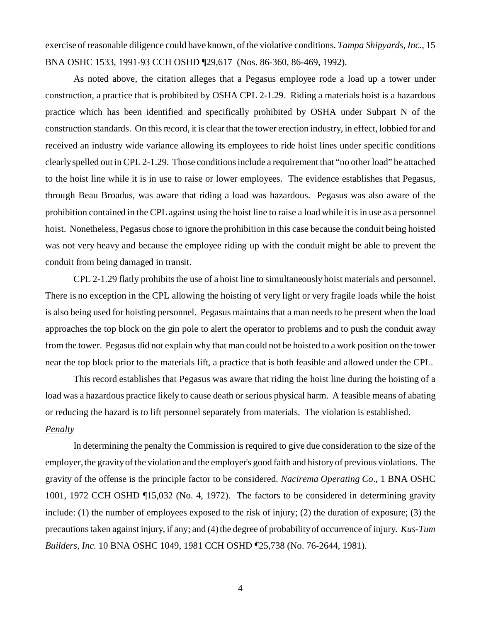exercise of reasonable diligence could have known, of the violative conditions. *Tampa Shipyards, Inc.*, 15 BNA OSHC 1533, 1991-93 CCH OSHD ¶29,617 (Nos. 86-360, 86-469, 1992).

As noted above, the citation alleges that a Pegasus employee rode a load up a tower under construction, a practice that is prohibited by OSHA CPL 2-1.29. Riding a materials hoist is a hazardous practice which has been identified and specifically prohibited by OSHA under Subpart N of the construction standards. On this record, it is clear that the tower erection industry, in effect, lobbied for and received an industry wide variance allowing its employees to ride hoist lines under specific conditions clearly spelled out in CPL 2-1.29. Those conditions include a requirement that "no other load" be attached to the hoist line while it is in use to raise or lower employees. The evidence establishes that Pegasus, through Beau Broadus, was aware that riding a load was hazardous. Pegasus was also aware of the prohibition contained in the CPL against using the hoist line to raise a load while it is in use as a personnel hoist. Nonetheless, Pegasus chose to ignore the prohibition in this case because the conduit being hoisted was not very heavy and because the employee riding up with the conduit might be able to prevent the conduit from being damaged in transit.

CPL 2-1.29 flatly prohibits the use of a hoist line to simultaneously hoist materials and personnel. There is no exception in the CPL allowing the hoisting of very light or very fragile loads while the hoist is also being used for hoisting personnel. Pegasus maintains that a man needs to be present when the load approaches the top block on the gin pole to alert the operator to problems and to push the conduit away from the tower. Pegasus did not explain why that man could not be hoisted to a work position on the tower near the top block prior to the materials lift, a practice that is both feasible and allowed under the CPL.

This record establishes that Pegasus was aware that riding the hoist line during the hoisting of a load was a hazardous practice likely to cause death or serious physical harm. A feasible means of abating or reducing the hazard is to lift personnel separately from materials. The violation is established. *Penalty* 

In determining the penalty the Commission is required to give due consideration to the size of the employer, the gravity of the violation and the employer's good faith and history of previous violations. The gravity of the offense is the principle factor to be considered. *Nacirema Operating Co*., 1 BNA OSHC 1001, 1972 CCH OSHD ¶15,032 (No. 4, 1972). The factors to be considered in determining gravity include: (1) the number of employees exposed to the risk of injury; (2) the duration of exposure; (3) the precautions taken against injury, if any; and (4) the degree of probability of occurrence of injury. *Kus-Tum Builders, Inc.* 10 BNA OSHC 1049, 1981 CCH OSHD ¶25,738 (No. 76-2644, 1981).

4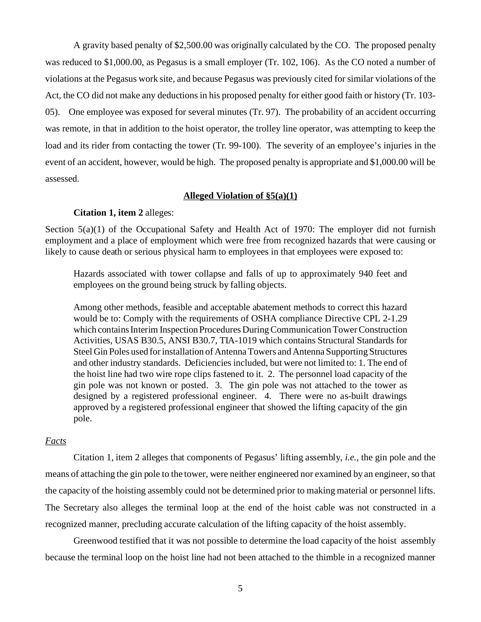A gravity based penalty of \$2,500.00 was originally calculated by the CO. The proposed penalty was reduced to \$1,000.00, as Pegasus is a small employer (Tr. 102, 106). As the CO noted a number of violations at the Pegasus work site, and because Pegasus was previously cited for similar violations of the Act, the CO did not make any deductions in his proposed penalty for either good faith or history (Tr. 103 05). One employee was exposed for several minutes (Tr. 97). The probability of an accident occurring was remote, in that in addition to the hoist operator, the trolley line operator, was attempting to keep the load and its rider from contacting the tower (Tr. 99-100). The severity of an employee's injuries in the event of an accident, however, would be high. The proposed penalty is appropriate and \$1,000.00 will be assessed.

# **Alleged Violation of §5(a)(1)**

# **Citation 1, item 2** alleges:

Section 5(a)(1) of the Occupational Safety and Health Act of 1970: The employer did not furnish employment and a place of employment which were free from recognized hazards that were causing or likely to cause death or serious physical harm to employees in that employees were exposed to:

Hazards associated with tower collapse and falls of up to approximately 940 feet and employees on the ground being struck by falling objects.

Among other methods, feasible and acceptable abatement methods to correct this hazard would be to: Comply with the requirements of OSHA compliance Directive CPL 2-1.29 which contains Interim Inspection Procedures During Communication Tower Construction Activities, USAS B30.5, ANSI B30.7, TIA-1019 which contains Structural Standards for Steel Gin Poles used for installation of Antenna Towers and Antenna Supporting Structures and other industry standards. Deficiencies included, but were not limited to: 1. The end of the hoist line had two wire rope clips fastened to it. 2. The personnel load capacity of the gin pole was not known or posted. 3. The gin pole was not attached to the tower as designed by a registered professional engineer. 4. There were no as-built drawings approved by a registered professional engineer that showed the lifting capacity of the gin pole.

# *Facts*

Citation 1, item 2 alleges that components of Pegasus' lifting assembly, *i.e.,* the gin pole and the means of attaching the gin pole to the tower, were neither engineered nor examined by an engineer, so that the capacity of the hoisting assembly could not be determined prior to making material or personnel lifts. The Secretary also alleges the terminal loop at the end of the hoist cable was not constructed in a recognized manner, precluding accurate calculation of the lifting capacity of the hoist assembly.

Greenwood testified that it was not possible to determine the load capacity of the hoist assembly because the terminal loop on the hoist line had not been attached to the thimble in a recognized manner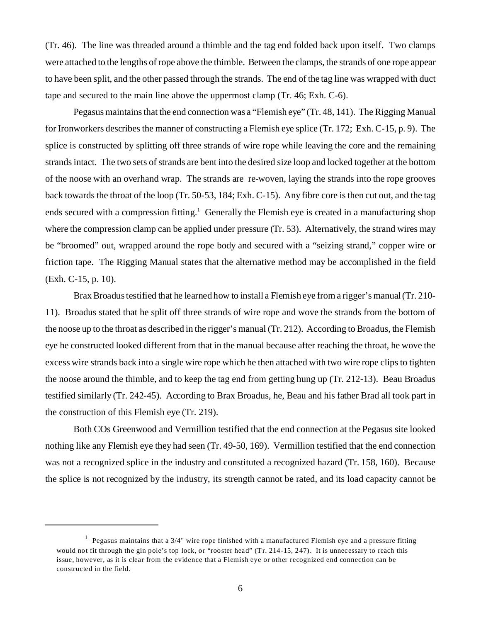(Tr. 46). The line was threaded around a thimble and the tag end folded back upon itself. Two clamps were attached to the lengths of rope above the thimble. Between the clamps, the strands of one rope appear to have been split, and the other passed through the strands. The end of the tag line was wrapped with duct tape and secured to the main line above the uppermost clamp (Tr. 46; Exh. C-6).

Pegasus maintains that the end connection was a "Flemish eye" (Tr. 48, 141). The Rigging Manual for Ironworkers describes the manner of constructing a Flemish eye splice (Tr. 172; Exh. C-15, p. 9). The splice is constructed by splitting off three strands of wire rope while leaving the core and the remaining strands intact. The two sets of strands are bent into the desired size loop and locked together at the bottom of the noose with an overhand wrap. The strands are re-woven, laying the strands into the rope grooves back towards the throat of the loop (Tr. 50-53, 184; Exh. C-15). Any fibre core is then cut out, and the tag ends secured with a compression fitting.<sup>1</sup> Generally the Flemish eye is created in a manufacturing shop where the compression clamp can be applied under pressure (Tr. 53). Alternatively, the strand wires may be "broomed" out, wrapped around the rope body and secured with a "seizing strand," copper wire or friction tape. The Rigging Manual states that the alternative method may be accomplished in the field (Exh. C-15, p. 10).

Brax Broadus testified that he learned how to install a Flemish eye from a rigger's manual (Tr. 210 11). Broadus stated that he split off three strands of wire rope and wove the strands from the bottom of the noose up to the throat as described in the rigger's manual (Tr. 212). According to Broadus, the Flemish eye he constructed looked different from that in the manual because after reaching the throat, he wove the excess wire strands back into a single wire rope which he then attached with two wire rope clips to tighten the noose around the thimble, and to keep the tag end from getting hung up (Tr. 212-13). Beau Broadus testified similarly (Tr. 242-45). According to Brax Broadus, he, Beau and his father Brad all took part in the construction of this Flemish eye (Tr. 219).

Both COs Greenwood and Vermillion testified that the end connection at the Pegasus site looked nothing like any Flemish eye they had seen (Tr. 49-50, 169). Vermillion testified that the end connection was not a recognized splice in the industry and constituted a recognized hazard (Tr. 158, 160). Because the splice is not recognized by the industry, its strength cannot be rated, and its load capacity cannot be

 $1$  Pegasus maintains that a 3/4" wire rope finished with a manufactured Flemish eye and a pressure fitting would not fit through the gin pole's top lock, or "rooster head" (Tr. 214-15, 247). It is unnecessary to reach this issue, however, as it is clear from the evidence that a Flemish eye or other recognized end connection can be constructed in the field.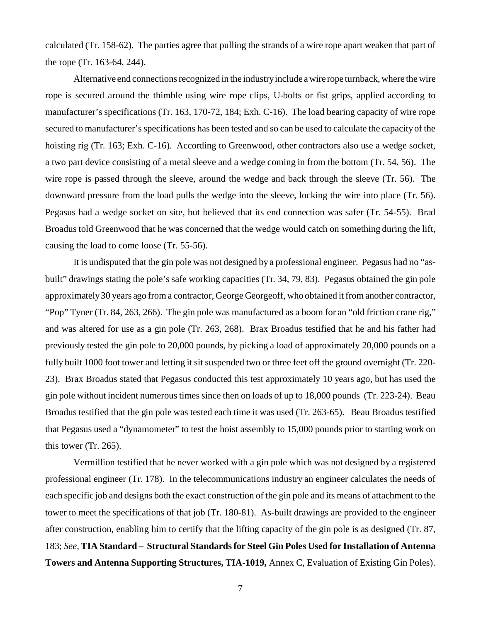calculated (Tr. 158-62). The parties agree that pulling the strands of a wire rope apart weaken that part of the rope (Tr. 163-64, 244).

Alternative end connections recognized in the industry include a wire rope turnback, where the wire rope is secured around the thimble using wire rope clips, U-bolts or fist grips, applied according to manufacturer's specifications (Tr. 163, 170-72, 184; Exh. C-16). The load bearing capacity of wire rope secured to manufacturer's specifications has been tested and so can be used to calculate the capacity of the hoisting rig (Tr. 163; Exh. C-16). According to Greenwood, other contractors also use a wedge socket, a two part device consisting of a metal sleeve and a wedge coming in from the bottom (Tr. 54, 56). The wire rope is passed through the sleeve, around the wedge and back through the sleeve (Tr. 56). The downward pressure from the load pulls the wedge into the sleeve, locking the wire into place (Tr. 56). Pegasus had a wedge socket on site, but believed that its end connection was safer (Tr. 54-55). Brad Broadus told Greenwood that he was concerned that the wedge would catch on something during the lift, causing the load to come loose (Tr. 55-56).

It is undisputed that the gin pole was not designed by a professional engineer. Pegasus had no "asbuilt" drawings stating the pole's safe working capacities (Tr. 34, 79, 83). Pegasus obtained the gin pole approximately 30 years ago from a contractor, George Georgeoff, who obtained it from another contractor, "Pop" Tyner (Tr. 84, 263, 266). The gin pole was manufactured as a boom for an "old friction crane rig," and was altered for use as a gin pole (Tr. 263, 268). Brax Broadus testified that he and his father had previously tested the gin pole to 20,000 pounds, by picking a load of approximately 20,000 pounds on a fully built 1000 foot tower and letting it sit suspended two or three feet off the ground overnight (Tr. 220 23). Brax Broadus stated that Pegasus conducted this test approximately 10 years ago, but has used the gin pole without incident numerous times since then on loads of up to 18,000 pounds (Tr. 223-24). Beau Broadus testified that the gin pole was tested each time it was used (Tr. 263-65). Beau Broadus testified that Pegasus used a "dynamometer" to test the hoist assembly to 15,000 pounds prior to starting work on this tower (Tr. 265).

Vermillion testified that he never worked with a gin pole which was not designed by a registered professional engineer (Tr. 178). In the telecommunications industry an engineer calculates the needs of each specific job and designs both the exact construction of the gin pole and its means of attachment to the tower to meet the specifications of that job (Tr. 180-81). As-built drawings are provided to the engineer after construction, enabling him to certify that the lifting capacity of the gin pole is as designed (Tr. 87, 183; *See,* **TIA Standard – Structural Standards for Steel Gin Poles Used for Installation of Antenna Towers and Antenna Supporting Structures, TIA-1019,** Annex C, Evaluation of Existing Gin Poles).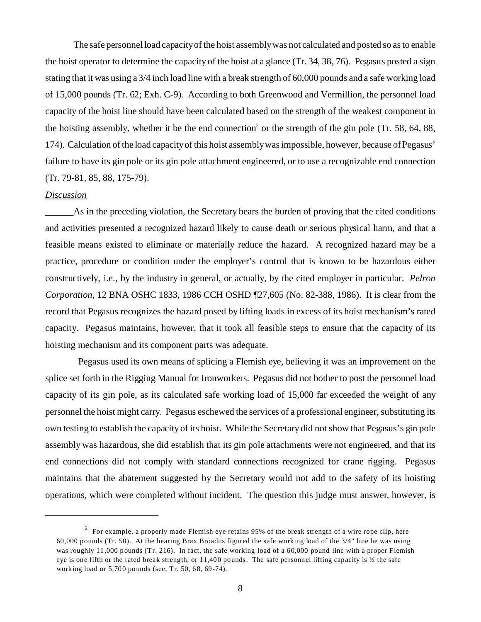The safe personnel load capacity of the hoist assembly was not calculated and posted so as to enable the hoist operator to determine the capacity of the hoist at a glance (Tr. 34, 38, 76). Pegasus posted a sign stating that it was using a 3/4 inch load line with a break strength of 60,000 pounds and a safe working load of 15,000 pounds (Tr. 62; Exh. C-9). According to both Greenwood and Vermillion, the personnel load capacity of the hoist line should have been calculated based on the strength of the weakest component in the hoisting assembly, whether it be the end connection<sup>2</sup> or the strength of the gin pole (Tr. 58, 64, 88, 174). Calculation of the load capacity of this hoist assembly was impossible, however, because of Pegasus' failure to have its gin pole or its gin pole attachment engineered, or to use a recognizable end connection (Tr. 79-81, 85, 88, 175-79).

### *Discussion*

As in the preceding violation, the Secretary bears the burden of proving that the cited conditions and activities presented a recognized hazard likely to cause death or serious physical harm, and that a feasible means existed to eliminate or materially reduce the hazard. A recognized hazard may be a practice, procedure or condition under the employer's control that is known to be hazardous either constructively, i.e., by the industry in general, or actually, by the cited employer in particular. *Pelron Corporation*, 12 BNA OSHC 1833, 1986 CCH OSHD ¶27,605 (No. 82-388, 1986). It is clear from the record that Pegasus recognizes the hazard posed by lifting loads in excess of its hoist mechanism's rated capacity. Pegasus maintains, however, that it took all feasible steps to ensure that the capacity of its hoisting mechanism and its component parts was adequate.

 Pegasus used its own means of splicing a Flemish eye, believing it was an improvement on the splice set forth in the Rigging Manual for Ironworkers. Pegasus did not bother to post the personnel load capacity of its gin pole, as its calculated safe working load of 15,000 far exceeded the weight of any personnel the hoist might carry. Pegasus eschewed the services of a professional engineer, substituting its own testing to establish the capacity of its hoist. While the Secretary did not show that Pegasus's gin pole assembly was hazardous, she did establish that its gin pole attachments were not engineered, and that its end connections did not comply with standard connections recognized for crane rigging. Pegasus maintains that the abatement suggested by the Secretary would not add to the safety of its hoisting operations, which were completed without incident. The question this judge must answer, however, is

 $2\,$  For example, a properly made Flemish eye retains 95% of the break strength of a wire rope clip, here 60,000 pounds (Tr. 50). At the hearing Brax Broadus figured the safe working load of the  $3/4$ " line he was using was roughly 11,000 pounds (Tr. 216). In fact, the safe working load of a  $60,000$  pound line with a proper Flemish eye is one fifth or the rated break strength, or  $11,400$  pounds. The safe personnel lifting capacity is  $\frac{1}{2}$  the safe working load or 5,700 pounds (see, Tr. 50, 68, 69-74).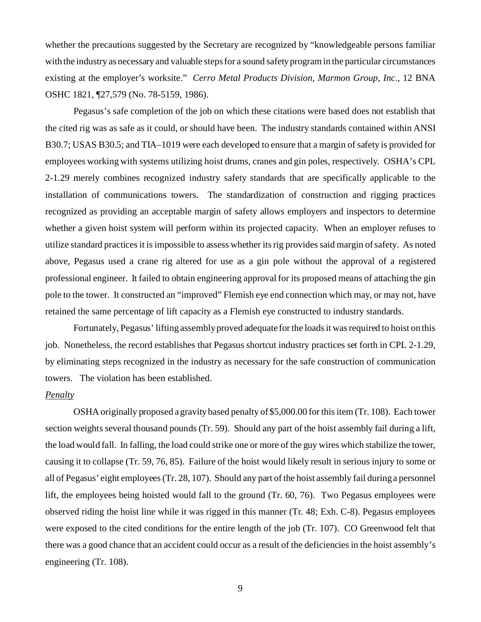whether the precautions suggested by the Secretary are recognized by "knowledgeable persons familiar with the industry as necessary and valuable steps for a sound safety program in the particular circumstances existing at the employer's worksite." *Cerro Metal Products Division, Marmon Group, Inc.,* 12 BNA OSHC 1821, ¶27,579 (No. 78-5159, 1986).

Pegasus's safe completion of the job on which these citations were based does not establish that the cited rig was as safe as it could, or should have been. The industry standards contained within ANSI B30.7; USAS B30.5; and TIA–1019 were each developed to ensure that a margin of safety is provided for employees working with systems utilizing hoist drums, cranes and gin poles, respectively. OSHA's CPL 2-1.29 merely combines recognized industry safety standards that are specifically applicable to the installation of communications towers. The standardization of construction and rigging practices recognized as providing an acceptable margin of safety allows employers and inspectors to determine whether a given hoist system will perform within its projected capacity. When an employer refuses to utilize standard practices it is impossible to assess whether its rig provides said margin of safety. As noted above, Pegasus used a crane rig altered for use as a gin pole without the approval of a registered professional engineer. It failed to obtain engineering approval for its proposed means of attaching the gin pole to the tower. It constructed an "improved" Flemish eye end connection which may, or may not, have retained the same percentage of lift capacity as a Flemish eye constructed to industry standards.

Fortunately, Pegasus' lifting assembly proved adequate for the loads it was required to hoist on this job. Nonetheless, the record establishes that Pegasus shortcut industry practices set forth in CPL 2-1.29, by eliminating steps recognized in the industry as necessary for the safe construction of communication towers. The violation has been established.

# *Penalty*

OSHA originally proposed a gravity based penalty of \$5,000.00 for this item (Tr. 108). Each tower section weights several thousand pounds (Tr. 59). Should any part of the hoist assembly fail during a lift, the load would fall. In falling, the load could strike one or more of the guy wires which stabilize the tower, causing it to collapse (Tr. 59, 76, 85). Failure of the hoist would likely result in serious injury to some or all of Pegasus' eight employees (Tr. 28, 107). Should any part of the hoist assembly fail during a personnel lift, the employees being hoisted would fall to the ground (Tr. 60, 76). Two Pegasus employees were observed riding the hoist line while it was rigged in this manner (Tr. 48; Exh. C-8). Pegasus employees were exposed to the cited conditions for the entire length of the job (Tr. 107). CO Greenwood felt that there was a good chance that an accident could occur as a result of the deficiencies in the hoist assembly's engineering (Tr. 108).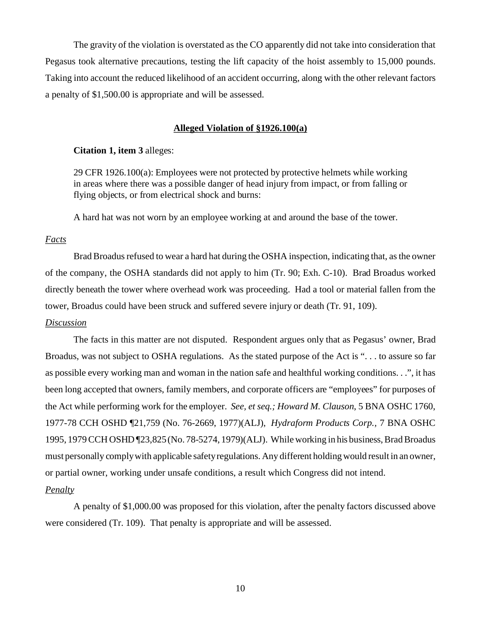The gravity of the violation is overstated as the CO apparently did not take into consideration that Pegasus took alternative precautions, testing the lift capacity of the hoist assembly to 15,000 pounds. Taking into account the reduced likelihood of an accident occurring, along with the other relevant factors a penalty of \$1,500.00 is appropriate and will be assessed.

### **Alleged Violation of §1926.100(a)**

# **Citation 1, item 3** alleges:

29 CFR 1926.100(a): Employees were not protected by protective helmets while working in areas where there was a possible danger of head injury from impact, or from falling or flying objects, or from electrical shock and burns:

A hard hat was not worn by an employee working at and around the base of the tower.

# *Facts*

Brad Broadus refused to wear a hard hat during the OSHA inspection, indicating that, as the owner of the company, the OSHA standards did not apply to him (Tr. 90; Exh. C-10). Brad Broadus worked directly beneath the tower where overhead work was proceeding. Had a tool or material fallen from the tower, Broadus could have been struck and suffered severe injury or death (Tr. 91, 109).

### *Discussion*

The facts in this matter are not disputed. Respondent argues only that as Pegasus' owner, Brad Broadus, was not subject to OSHA regulations. As the stated purpose of the Act is ". . . to assure so far as possible every working man and woman in the nation safe and healthful working conditions. . .", it has been long accepted that owners, family members, and corporate officers are "employees" for purposes of the Act while performing work for the employer. *See, et seq.; Howard M. Clauson*, 5 BNA OSHC 1760, 1977-78 CCH OSHD ¶21,759 (No. 76-2669, 1977)(ALJ), *Hydraform Products Corp.,* 7 BNA OSHC 1995, 1979 CCH OSHD ¶23,825 (No. 78-5274, 1979)(ALJ). While working in his business, Brad Broadus must personally comply with applicable safety regulations. Any different holding would result in an owner, or partial owner, working under unsafe conditions, a result which Congress did not intend. *Penalty* 

A penalty of \$1,000.00 was proposed for this violation, after the penalty factors discussed above were considered (Tr. 109). That penalty is appropriate and will be assessed.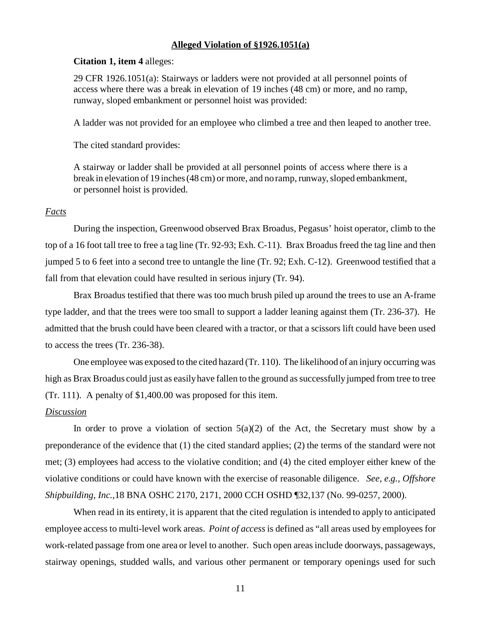# **Alleged Violation of §1926.1051(a)**

#### **Citation 1, item 4** alleges:

29 CFR 1926.1051(a): Stairways or ladders were not provided at all personnel points of access where there was a break in elevation of 19 inches (48 cm) or more, and no ramp, runway, sloped embankment or personnel hoist was provided:

A ladder was not provided for an employee who climbed a tree and then leaped to another tree.

The cited standard provides:

A stairway or ladder shall be provided at all personnel points of access where there is a break in elevation of 19 inches (48 cm) or more, and no ramp, runway, sloped embankment, or personnel hoist is provided.

### *Facts*

During the inspection, Greenwood observed Brax Broadus, Pegasus' hoist operator, climb to the top of a 16 foot tall tree to free a tag line (Tr. 92-93; Exh. C-11). Brax Broadus freed the tag line and then jumped 5 to 6 feet into a second tree to untangle the line (Tr. 92; Exh. C-12). Greenwood testified that a fall from that elevation could have resulted in serious injury (Tr. 94).

Brax Broadus testified that there was too much brush piled up around the trees to use an A-frame type ladder, and that the trees were too small to support a ladder leaning against them (Tr. 236-37). He admitted that the brush could have been cleared with a tractor, or that a scissors lift could have been used to access the trees (Tr. 236-38).

One employee was exposed to the cited hazard (Tr. 110). The likelihood of an injury occurring was high as Brax Broadus could just as easily have fallen to the ground as successfully jumped from tree to tree (Tr. 111). A penalty of \$1,400.00 was proposed for this item.

#### *Discussion*

In order to prove a violation of section  $5(a)(2)$  of the Act, the Secretary must show by a preponderance of the evidence that (1) the cited standard applies; (2) the terms of the standard were not met; (3) employees had access to the violative condition; and (4) the cited employer either knew of the violative conditions or could have known with the exercise of reasonable diligence. *See, e.g., Offshore Shipbuilding, Inc.,*18 BNA OSHC 2170, 2171, 2000 CCH OSHD ¶32,137 (No. 99-0257, 2000).

When read in its entirety, it is apparent that the cited regulation is intended to apply to anticipated employee access to multi-level work areas. *Point of access* is defined as "all areas used by employees for work-related passage from one area or level to another. Such open areas include doorways, passageways, stairway openings, studded walls, and various other permanent or temporary openings used for such